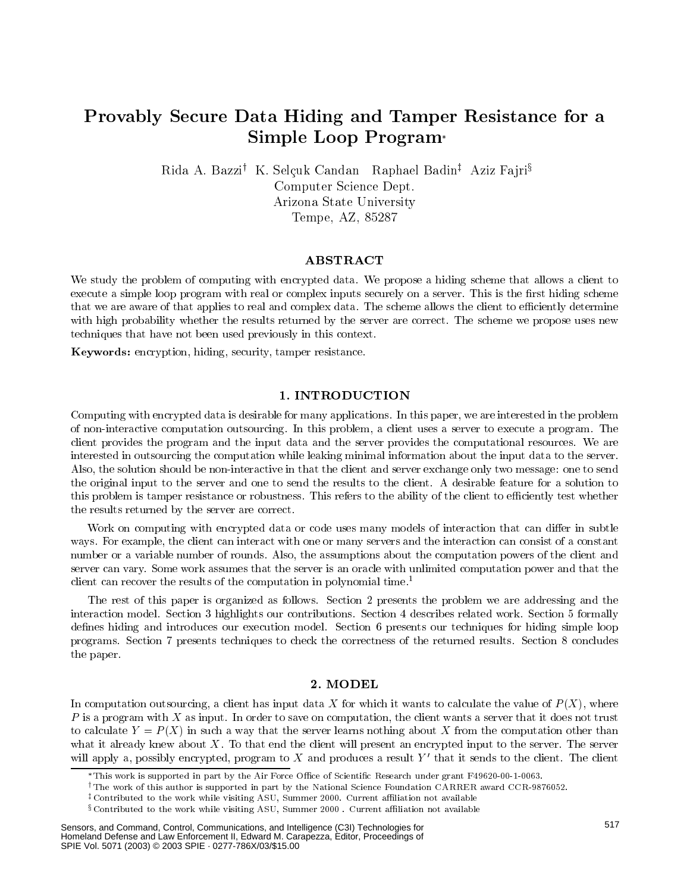# Pro vably Secure Data Hiding and Tamper Resistance for aSimple Loop Program

Rida A. Bazzi<sup>,</sup> K. Selçuk Candan - Raphael Badin<sup>,</sup> Aziz Fajri°

Computer Science Dept. Arizona State Universit y and the state of the state of the state of the state of the state of the state of the state of the state of the state of the state of the state of the state of the state of the state of the state of the state of the stat Tempe, AZ, 85287

# ABSTRACT

We study the problem of computing with encrypted data. We propose a hiding scheme that allows a client to execute a simple loop program with real or complex inputs securely on a server. This is the first hiding scheme that we are allowed to that applies to real and complex data. The scheme allows the complex of the scheme allows with high probability whether the results returned by the server are correct. The scheme we propose uses new techniques that ha ve not been used previously in this context.

Keywords: encryption, hiding, securit y, tamper resistance.

Computing with encrypted data is desirable for many applications. In this paper, we are interested in the problem of non-interactive computation outsourcing. In this problem, a client uses a server to execute a program. The clien t provides the program andthe input data and the server provides the computational resources. We are interested in outsourcing the computation while leaking minimal information about the input data to the server. Also, the solution should be non-interactive in that the client and server exchange only t wo message: one to send the original input to the server and one to send the results to the client. A desirable feature for a solution to this problem is tamper resistance or robustness. This refers to the ability of the client to efficiently test whether the results returned by the server are correct.

Work on computing with encrypted data or code uses many models of interaction that can differ in subtle ways. For example, the client can interact with one or many servers and the interaction can consist of a constant number or a variable number of rounds. Also, the assumptions about the computation powers of the client and server can vary that the server is an oracle with unlimited computation power and the server is an oracle with client can reco ver the results of the computation in polynomial time. <sup>1</sup>

The rest of this paper is organized as follows. Section 2 presents the problem w e are addressing and the interaction model. Section 3 highlights our contributions. Section 4 describes related work. Section 5 formally denes hiding and introduces our execution model. Section 6 presents our techniques for hiding simple loop programs. Section 7 presents techniques to check the correctness of the returned results. Section 8 concludes the paper.

In computation outsourcing, a client has input data X for which it wants to calculate the value of P ( X), where P is a program with X as input. In order to sa ve on computation, the client wants a server that it does not trust  $\mathcal{N}$  in such a such a such as the server learns nothing about  $\mathcal{N}$ where the client will present will present will present an encrypted input to the server. The server. The server will apply a, possibly encrypted, program to  $\Lambda$  and produces a result  $\ell$  -that it sends to the chem. The chem

<sup>\*</sup>This work is supported in part by the Air Force Office of Scientific Research under grant F49620-00-1-0063.

<sup>y</sup> The work of this author is supported in part by the National Science Foundation CARRER award CCR-9876052.

<sup>z</sup> Contributed to the work while visiting ASU, Summer 2000. Current aliation not available

<sup>x</sup> Contributed to the work while visiting ASU, Summer 2000 . Current aliation not available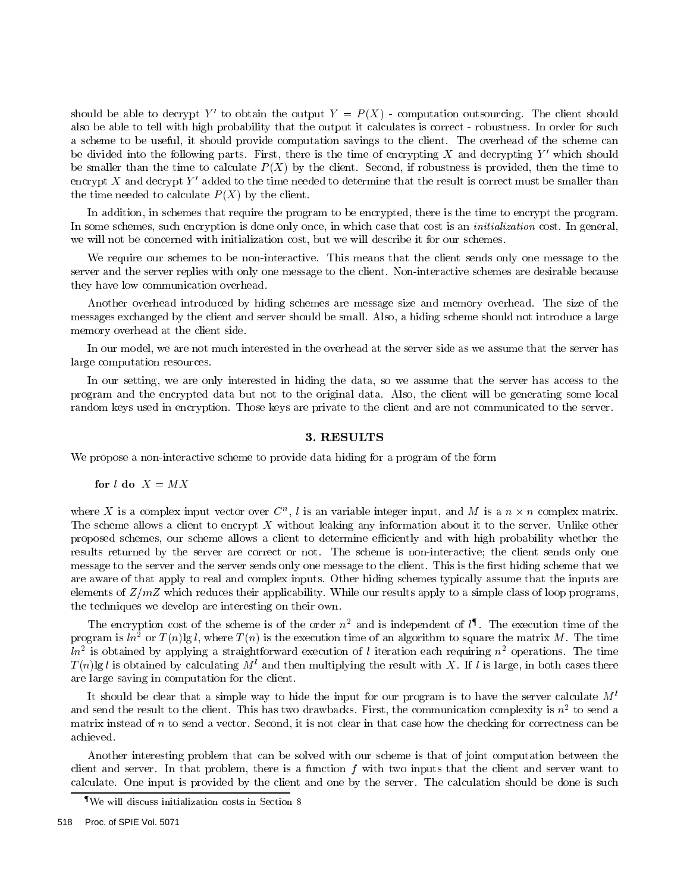should be able to decrypt Y' to obtain the output  $Y = P(X)$  - computation outsourcing. The client should also be able to tell with high probability that the output it calculates is correct - robustness. In order for such a scheme to be useful, it should provide computation savings to the client. The overhead of the scheme can be divided into the following parts. First, there is the time of encrypting X and decrypting  $Y'$  which should be smaller than the time to calculate  $P(X)$  by the client. Second, if robustness is provided, then the time to encrypt X and decrypt  $Y'$  added to the time needed to determine that the result is correct must be smaller than the time needed to calculate  $P(X)$  by the client.

In addition, in schemes that require the program to be encrypted, there is the time to encrypt the program. In some schemes, such encryption is done only once, in which case that cost is an *initialization* cost. In general, we will not be concerned with initialization cost, but we will describe it for our schemes.

We require our schemes to be non-interactive. This means that the client sends only one message to the server and the server replies with only one message to the client. Non-interactive schemes are desirable because they have low communication overhead.

Another overhead introduced by hiding schemes are message size and memory overhead. The size of the messages exchanged by the client and server should be small. Also, a hiding scheme should not introduce a large memory overhead at the client side.

In our model, we are not much interested in the overhead at the server side as we assume that the server has large computation resources.

In our setting, we are only interested in hiding the data, so we assume that the server has access to the program and the encrypted data but not to the original data. Also, the client will be generating some local random keys used in encryption. Those keys are private to the client and are not communicated to the server.

### 3. RESULTS

We propose a non-interactive scheme to provide data hiding for a program of the form

where X is a complex input vector over  $C^n$ , l is an variable integer input, and M is a  $n \times n$  complex matrix. The scheme allows a client to encrypt  $X$  without leaking any information about it to the server. Unlike other proposed schemes, our scheme allows a client to determine eciently and with high probability whether the results returned by the server are correct or not. The scheme is non-interactive; the client sends only one message to the server and the server sends only one message to the client. This is the first hiding scheme that we are aware of that apply to real and complex inputs. Other hiding schemes typically assume that the inputs are elements of  $Z/mZ$  which reduces their applicability. While our results apply to a simple class of loop programs, the techniques we develop are interesting on their own.

The encryption cost of the scheme is of the order  $n^{\perp}$  and is independent of  $\ell^{\perp}$ . The execution time of the program is  $ln^2$  or  $T(n)$ lg l, where  $T(n)$  is the execution time of an algorithm to square the matrix M. The time  $m$  is obtained by applying a straightforward execution of  $\iota$  iteration each requiring  $n$  - operations. The time  $T(n)|g|l$  is obtained by calculating  $M^l$  and then multiplying the result with X. If l is large, in both cases there are large saving in computation for the client.

It should be clear that a simple way to hide the input for our program is to have the server calculate  $M<sup>l</sup>$ and send the result to the chem. This has two drawbacks. First, the communication complexity is  $n$  -to send a matrix instead of n to send a vector. Second, it is not clear in that case how the checking for correctness can be achieved.

Another interesting problem that can be solved with our scheme is that of joint computation between the client and server. In that problem, there is a function  $f$  with two inputs that the client and server want to calculate. One input is provided by the client and one by the server. The calculation should be done is such

 $\P$  We will discuss initialization costs in Section 8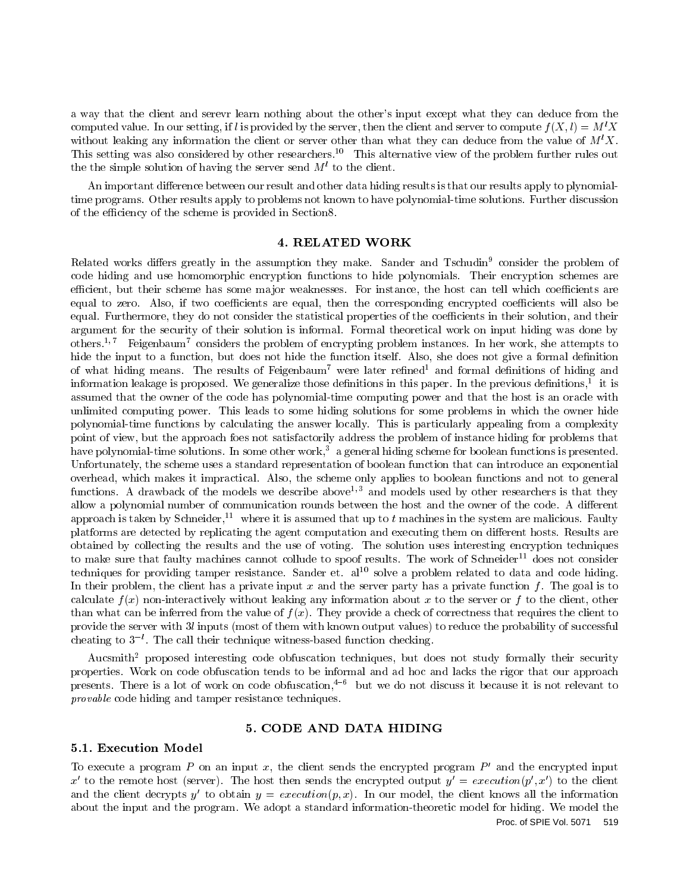a way that the client and serevr learn nothing about the other's input except what they can deduce from the computed value. In our setting, if l is provided by the server, then the client and server to compute  $f(X, l) = M^{\dagger} X$ without leaking any information the client or server other than what they can deduce from the value of  $M<sup>t</sup>X$ . This setting was also considered by other researchers.<sup>10</sup> This alternative view of the problem further rules out the the simple solution of having the server send  $M<sup>l</sup>$  to the client.

An important difference between our result and other data hiding results is that our results apply to plynomialtime programs. Other results apply to problems not known to have polynomial-time solutions. Further discussion of the efficiency of the scheme is provided in Section8.

# 4. RELATED WORK

Related works differs greatly in the assumption they make. Sander and Tschudin<sup>9</sup> consider the problem of code hiding and use homomorphic encryption functions to hide polynomials. Their encryption schemes are efficient, but their scheme has some major weaknesses. For instance, the host can tell which coefficients are equal to zero. Also, if two coefficients are equal, then the corresponding encrypted coefficients will also be equal. Furthermore, they do not consider the statistical properties of the coefficients in their solution, and their argument for the security of their solution is informal. Formal theoretical work on input hiding was done by others.<sup>1,7</sup> Feigenbaum<sup>7</sup> considers the problem of encrypting problem instances. In her work, she attempts to hide the input to a function, but does not hide the function itself. Also, she does not give a formal definition of what hiding means. The results of Feigenbaum<sup>7</sup> were later refined<sup>1</sup> and formal definitions of hiding and information leakage is proposed. We generalize those definitions in this paper. In the previous definitions," it is assumed that the owner of the code has polynomial-time computing power and that the host is an oracle with unlimited computing power. This leads to some hiding solutions for some problems in which the owner hide polynomial-time functions by calculating the answer locally. This is particularly appealing from a complexity point of view, but the approach foes not satisfactorily address the problem of instance hiding for problems that have polynomial-time solutions. In some other work,<sup>3</sup> a general hiding scheme for boolean functions is presented. Unfortunately, the scheme uses a standard representation of boolean function that can introduce an exponential overhead, which makes it impractical. Also, the scheme only applies to boolean functions and not to general tunctions. A drawback of the models we describe above<sup>-,</sup> and models used by other researchers is that they allow a polynomial number of communication rounds between the host and the owner of the code. A different approach is taken by Schneider,<sup>11</sup> where it is assumed that up to  $t$  machines in the system are malicious. Faulty platforms are detected by replicating the agent computation and executing them on different hosts. Results are obtained by collecting the results and the use of voting. The solution uses interesting encryption techniques to make sure that faulty machines cannot collude to spoof results. The work of Schneider<sup>11</sup> does not consider techniques for providing tamper resistance. Sander et. al<sup>10</sup> solve a problem related to data and code hiding. In their problem, the client has a private input x and the server party has a private function f. The goal is to calculate  $f(x)$  non-interactively without leaking any information about x to the server or f to the client, other than what can be inferred from the value of  $f(x)$ . They provide a check of correctness that requires the client to provide the server with 3l inputs (most of them with known output values) to reduce the probability of successful cheating to  $3^{-l}$ . The call their technique witness-based function checking.

Aucsmith2 proposed interesting code obfuscation techniques, but does not study formally their security properties. Work on code obfuscation tends to be informal and ad hoc and lacks the rigor that our approach presents. There is a lot of work on code obfuscation,<sup>4-6</sup> but we do not discuss it because it is not relevant to provable code hiding and tamper resistance techniques.

## 5. CODE AND DATA HIDING

#### 5.1. Execution Model

To execute a program  $P$  on an input  $x$ , the client sends the encrypted program  $P'$  and the encrypted input x' to the remote host (server). The host then sends the encrypted output  $y' = execution(p', x')$  to the client and the client decrypts y' to obtain  $y = execution(p, x)$ . In our model, the client knows all the information about the input and the program. We adopt a standard information-theoretic model for hiding. We model the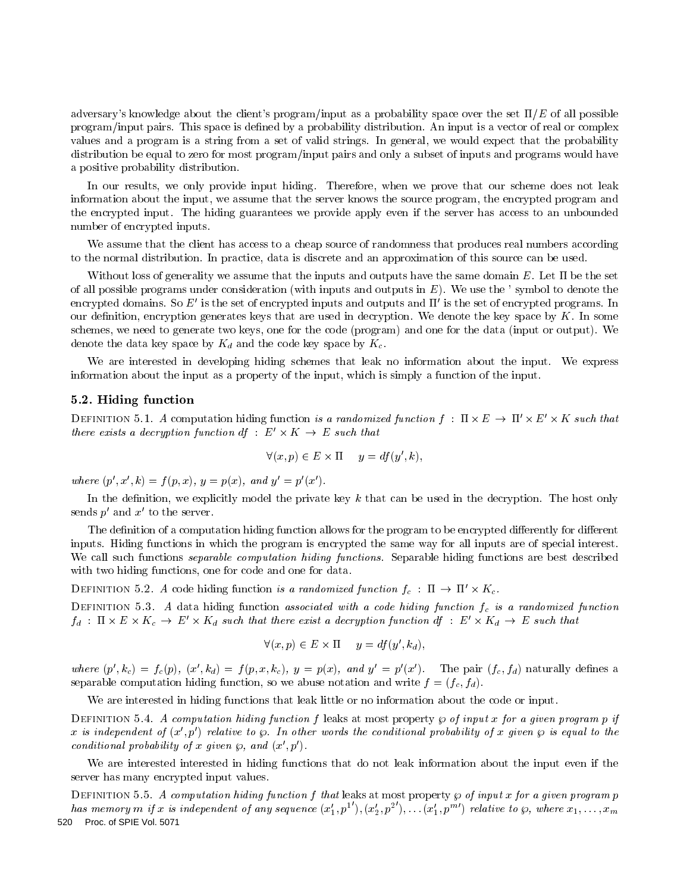adversary's knowledge about the client's program/input as a probability space over the set  $\Pi/E$  of all possible program/input pairs. This space is defined by a probability distribution. An input is a vector of real or complex values and a program is a string from a set of valid strings. In general, we would expect that the probability distribution be equal to zero for most program/input pairs and only a subset of inputs and programs would have a positive probability distribution.

In our results, we only provide input hiding. Therefore, when we prove that our scheme does not leak information about the input, we assume that the server knows the source program, the encrypted program and the encrypted input. The hiding guarantees we provide apply even if the server has access to an unbounded number of encrypted inputs.

We assume that the client has access to a cheap source of randomness that produces real numbers according to the normal distribution. In practice, data is discrete and an approximation of this source can be used.

Without loss of generality we assume that the inputs and outputs have the same domain  $E$ . Let  $\Pi$  be the set of all possible programs under consideration (with inputs and outputs in  $E$ ). We use the ' symbol to denote the encrypted domains. So E' is the set of encrypted inputs and outputs and  $\Pi'$  is the set of encrypted programs. In our definition, encryption generates keys that are used in decryption. We denote the key space by  $K$ . In some schemes, we need to generate two keys, one for the code (program) and one for the data (input or output). We denote the data key space by  $K_d$  and the code key space by  $K_c$ .<br>We are interested in developing hiding schemes that leak no information about the input. We express

information about the input as a property of the input, which is simply a function of the input.

#### 5.2. Hiding function

DEFINITION 5.1. A computation hiding function is a randomized function  $f$  :  $\Pi \times E \to \Pi' \times E' \times K$  such that there exists a decryption function df :  $E^{\prime} \times K \rightarrow E$  such that

$$
\forall (x, p) \in E \times \Pi \quad y = df(y', k),
$$

where  $(p', x', k) = f(p, x), y = p(x),$  and  $y' = p'(x')$ .

In the definition, we explicitly model the private key  $k$  that can be used in the decryption. The host only sends  $p'$  and  $x'$  to the server.

The definition of a computation hiding function allows for the program to be encrypted differently for different inputs. Hiding functions in which the program is encrypted the same way for all inputs are of special interest. We call such functions *separable computation hiding functions*. Separable hiding functions are best described with two hiding functions, one for code and one for data.

DEFINITION 5.2. A code hiding function is a randomized function  $f_c$  :  $\Pi$   $\rightarrow$   $\Pi'$   $\times$  K  $_c$ .

DEFINITION 5.3. A data hiding function associated with a code hiding function  $f_c$  is a randomized function  $f_d$  :  $\Pi \times E \times K_c \to E' \times K_d$  such that there exist a decryption function  $df$  :  $E' \times K_d \to E$  such that

$$
\forall (x, p) \in E \times \Pi \quad y = df(y', k_d),
$$

where  $(p', k_c) = f_c(p), (x', k_d) = f(p, x, k_c), y = p(x),$  and  $y' = p'(x')$ . The pair  $(f_c, f_d)$  naturally defines a separable computation hiding function, so we abuse notation and write  $f = (f_c, f_d)$ .

We are interested in hiding functions that leak little or no information about the code or input.

DEFINITION 5.4. A computation hiding function f leaks at most property  $\wp$  of input x for a given program p if x is independent of  $(x', p')$  relative to  $\wp$ . In other words the conditional probability of x given  $\wp$  is equal to the conditional probability of x given  $\varphi$ , and  $(x', p')$ .

We are interested interested in hiding functions that do not leak information about the input even if the server has many encrypted input values.

DEFINITION 5.5. A computation hiding function f that leaks at most property  $\wp$  of input x for a given program p has memory m if x is independent of any sequence  $(x_1', p_1')$ ,  $(x_2', p_2')$ ,...  $(x_1', p_1'')$  relative to  $\wp$ , where  $x_1, \ldots, x_m$ 520 Proc. of SPIE Vol. 5071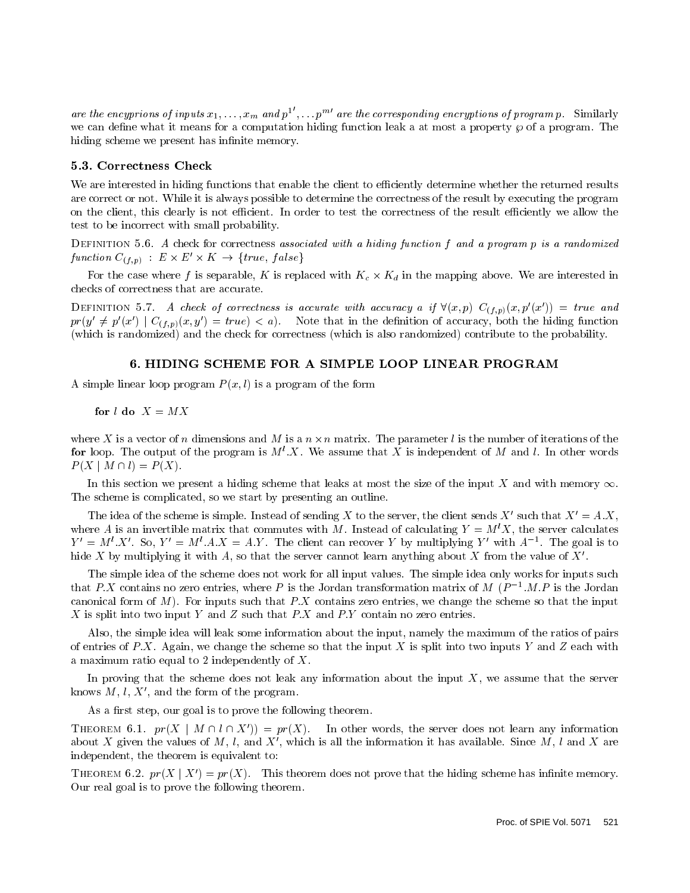are the encyprions of inputs  $x_1,\ldots,x_m$  and  $p^{1'}$ ,  $\ldots,p^{m'}$  are the corresponding encryptions of program p. Similarly we can define what it means for a computation hiding function leak a at most a property  $\wp$  of a program. The hiding scheme we present has infinite memory.

#### 5.3. Correctness Check

We are interested in hiding functions that enable the client to efficiently determine whether the returned results are correct or not. While it is always possible to determine the correctness of the result by executing the program on the client, this clearly is not efficient. In order to test the correctness of the result efficiently we allow the test to be incorrect with small probability.

DEFINITION 5.6. A check for correctness associated with a hiding function f and a program p is a randomized function  $C_{(f,p)}$ :  $E \times E' \times K \rightarrow \{true, false\}$ 

For the case where f is separable, K is replaced with  $K_c \times K_d$  in the mapping above. We are interested in checks of correctness that are accurate.

DEFINITION 5.7. A check of correctness is accurate with accuracy a if  $\forall (x, p)$   $C_{(f,p)}(x,p'(x')) = true$  and  $pr(y' \neq p'(x') | C_{(f,p)}(x, y') = true)$  < a). Note that in the definition of accuracy, both the hiding function (which is randomized) and the check for correctness (which is also randomized) contribute to the probability.

### 6. HIDING SCHEME FOR A SIMPLE LOOP LINEAR PROGRAM

A simple linear loop program  $P(x, l)$  is a program of the form

 $f \circ f$  and  $f \circ f$  is a matrix  $f$  and  $f$  and  $f$  and  $f$  and  $f$  and  $f$  and  $f$  and  $f$  and  $f$  and  $f$  and  $f$  and  $f$  and  $f$  and  $f$  and  $f$  and  $f$  and  $f$  and  $f$  and  $f$  and  $f$  and  $f$  and  $f$  and  $f$  and  $f$  and

where X is a vector of n dimensions and M is a  $n\times n$  matrix. The parameter l is the number of iterations of the for loop. The output of the program is M<sup>l</sup> :X. We assume that X is independent of M and l. In other words  $P(X \mid M \cap l) = P(X).$ 

In this section we present a hiding scheme that leaks at most the size of the input X and with memory  $\infty$ . The scheme is complicated, so we start by presenting an outline.

The idea of the scheme is simple. Instead of sending X to the server, the client sends X' such that  $X' = A.X$ , where A is an invertible matrix that commutes with M. Instead of calculating  $Y = M^t X$ , the server calculates  $Y = M \cdot A$ . So,  $Y = M \cdot A \cdot A = A \cdot I$ . The chemican recover Y by multiplying Y with  $A$ , The goal is to hide X by multiplying it with A, so that the server cannot learn anything about X from the value of  $X'$ .

The simple idea of the scheme does not work for all input values. The simple idea only works for inputs such that P:X contains no zero entries, where P is the Jordan transformation matrix of M (P  $^+$  M  $^+$  is the Jordan  $^+$ canonical form of  $M$ ). For inputs such that  $P.X$  contains zero entries, we change the scheme so that the input X is split into two input Y and Z such that  $P.X$  and  $P.Y$  contain no zero entries.

Also, the simple idea will leak some information about the input, namely the maximum of the ratios of pairs of entries of P.X. Again, we change the scheme so that the input X is split into two inputs Y and Z each with a maximum ratio equal to 2 independently of X.

In proving that the scheme does not leak any information about the input  $X$ , we assume that the server knows  $M, l, X'$ , and the form of the program.

As a first step, our goal is to prove the following theorem.

THEOREM 6.1.  $pr(X \mid M \cap l \cap X') = pr(X)$ . In other words, the server does not learn any information about X given the values of M, l, and X', which is all the information it has available. Since M, l and X are independent, the theorem is equivalent to:

THEOREM 6.2.  $pr(X \mid X') = pr(X)$ . This theorem does not prove that the hiding scheme has infinite memory. Our real goal is to prove the following theorem.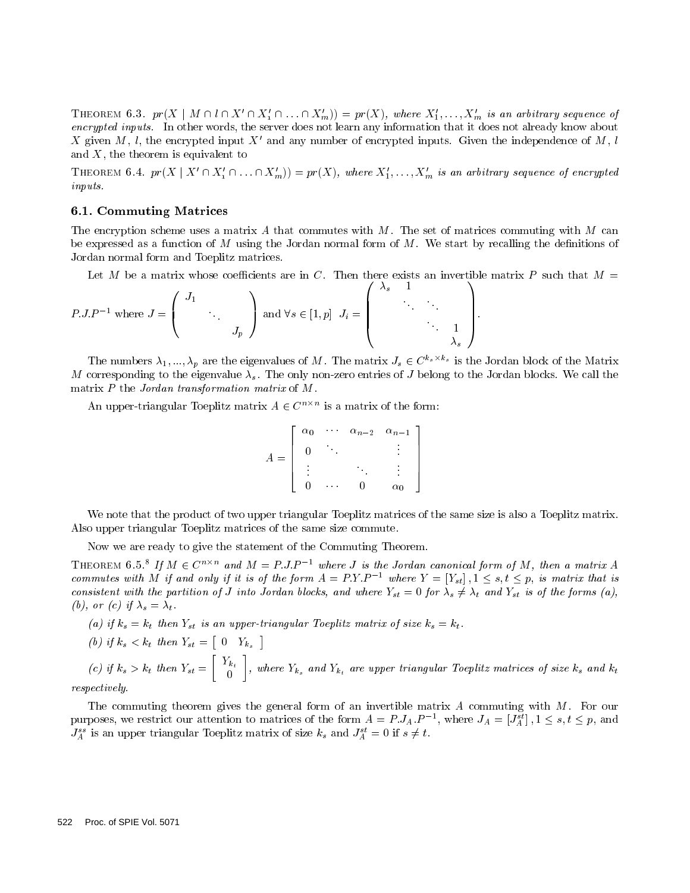THEOREM 6.3.  $pr(X \mid M \cap l \cap X' \cap X'_{1} \cap ... \cap X'_{m}) = pr(X)$ , where  $X'_{1},...,X'_{m}$  is an arbitrary sequence of encrypted inputs. In other words, the server does not learn any information that it does not already know about X given M, l, the encrypted input X' and any number of encrypted inputs. Given the independence of M, l and  $X$ , the theorem is equivalent to

THEOREM 6.4.  $pr(X \mid X' \cap X'_{1} \cap ... \cap X'_{m}) = pr(X)$ , where  $X'_{1},...,X'_{m}$  is an arbitrary sequence of encrypted inputs.

### 6.1. Commuting Matrices

The encryption scheme uses a matrix A that commutes with  $M$ . The set of matrices commuting with  $M$  can be expressed as a function of M using the Jordan normal form of  $M$ . We start by recalling the definitions of Jordan normal form and Toeplitz matrices.

$$
P.J.P^{-1} \text{ where } J = \begin{pmatrix} J_1 & & \\ & \ddots & \\ & & J_p \end{pmatrix} \text{ and } \forall s \in [1, p] \ \ J_i = \begin{pmatrix} \lambda_s & 1 & & \\ & \ddots & \\ & & \ddots & \\ & & & 1 \\ & & & & \lambda_s \end{pmatrix}.
$$

The numbers  $\lambda_1, ..., \lambda_p$  are the eigenvalues of M. The matrix  $J_s \in C^{k_s \wedge k_s}$  is the Jordan block of the Matrix M corresponding to the eigenvalue  $\lambda_s$ . The only non-zero entries of J belong to the Jordan blocks. We call the matrix P the Jordan transformation matrix of M.

An upper-triangular Toeplitz matrix  $A \in C^{n \times n}$  is a matrix of the form:

$$
A = \left[ \begin{array}{cccc} \alpha_0 & \cdots & \alpha_{n-2} & \alpha_{n-1} \\ 0 & \ddots & & \vdots \\ \vdots & & \ddots & \vdots \\ 0 & \cdots & 0 & \alpha_0 \end{array} \right]
$$

We note that the product of two upper triangular Toeplitz matrices of the same size is also a Toeplitz matrix. Also upper triangular Toeplitz matrices of the same size commute.

Now we are ready to give the statement of the Commuting Theorem.

THEOREM 6.5.° If  $M \in C^{n \times n}$  and  $M = P. J. P^{-1}$  where J is the Jordan canonical form of M, then a matrix A commutes with M if and only if it is of the form  $A = P.Y.P^{-1}$  where  $Y = [Y_{st}], 1 \leq s, t \leq p$ , is matrix that is consistent with the partition of J into Jordan blocks, and where  $Y_{st} = 0$  for  $\lambda_s \neq \lambda_t$  and  $Y_{st}$  is of the forms (a), (b), or (c) if  $\lambda_s = \lambda_t$ .

(a) if  $k_s = k_t$  then  $Y_{st}$  is an upper-triangular Toeplitz matrix of size  $k_s = k_t$ .

(b) if 
$$
k_s < k_t
$$
 then  $Y_{st} = \begin{bmatrix} 0 & Y_{k_s} \end{bmatrix}$ 

(c) if  $\alpha$  if  $\alpha$  if  $\alpha$  if  $\alpha$  if  $\alpha$  if  $\alpha$  if  $\alpha$  $\left[\begin{array}{c} Y_{k_t} \ 0 \end{array}\right]$ , where  $Y_{k_s}$  and  $Y_{k_t}$  are upper triangular Toeplitz matrices of size  $k_s$  and  $k_t$ respectively.

The commuting theorem gives the general form of an invertible matrix A commuting with M. For our purposes, we restrict our attention to matrices of the form  $A = P J_A P^{-1}$ , where  $J_A = [J_A^{st}]$ ,  $1 \leq s, t \leq p$ , and  $J_A^{ss}$  is an upper triangular Toeplitz matrix of size  $k_s$  and  $J_A^{st} = 0$  if  $s \neq t$ .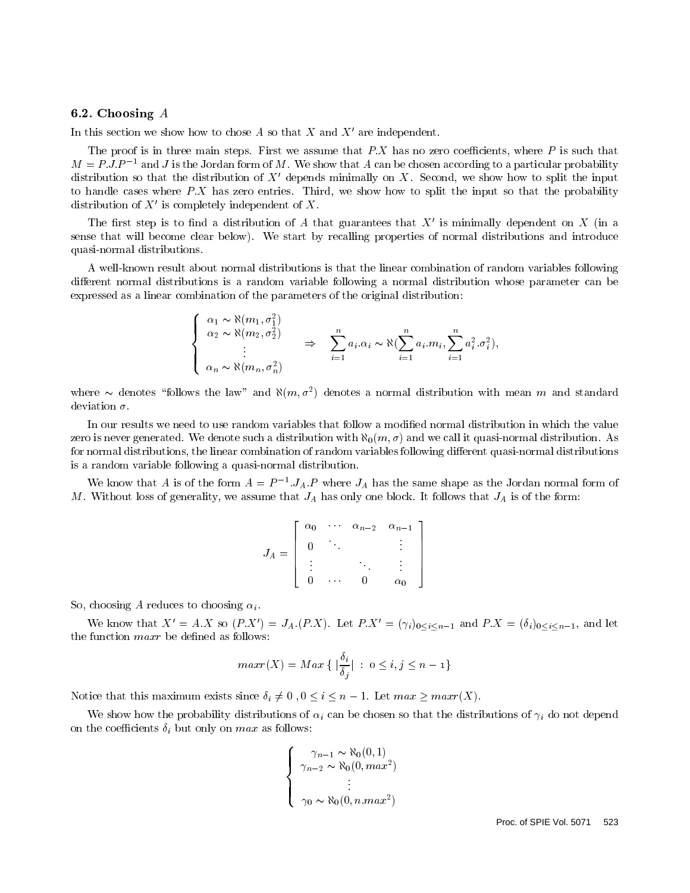#### 6.2. Choosing  $A$

In this section we show how to chose  $A$  so that  $X$  and  $X'$  are independent.

The proof is in three main steps. First we assume that  $P.X$  has no zero coefficients, where  $P$  is such that  $M = P.J.P^{-1}$  and J is the Jordan form of M. We show that A can be chosen according to a particular probability distribution so that the distribution of  $X'$  depends minimally on X. Second, we show how to split the input to handle cases where  $P.X$  has zero entries. Third, we show how to split the input so that the probability distribution of  $X'$  is completely independent of X.

The first step is to find a distribution of A that guarantees that  $X'$  is minimally dependent on X (in a sense that will become clear below). We start by recalling properties of normal distributions and introduce quasi-normal distributions.

A well-known result about normal distributions is that the linear combination of random variables following different normal distributions is a random variable following a normal distribution whose parameter can be expressed as a linear combination of the parameters of the original distribution:

$$
\begin{cases}\n\alpha_1 \sim \aleph(m_1, \sigma_1^2) \\
\alpha_2 \sim \aleph(m_2, \sigma_2^2) \\
\vdots \\
\alpha_n \sim \aleph(m_n, \sigma_n^2)\n\end{cases}\n\Rightarrow\n\sum_{i=1}^n a_i \alpha_i \sim \aleph(\sum_{i=1}^n a_i \cdot m_i, \sum_{i=1}^n a_i^2 \cdot \sigma_i^2),
$$

where  $\sim$  denotes "follows the law" and  $\aleph(m, \sigma^2)$  denotes a normal distribution with mean m and standard deviation  $\sigma$ .

In our results we need to use random variables that follow a modied normal distribution in which the value zero is never generated. We denote such a distribution with  $\aleph_0(m, \sigma)$  and we call it quasi-normal distribution. As for normal distributions, the linear combination of random variables following different quasi-normal distributions is a random variable following a quasi-normal distribution.

We know that A is of the form  $A = P^{-1}$ .  $J_A$ . P where  $J_A$  has the same shape as the Jordan normal form of M. Without loss of generality, we assume that  $J_A$  has only one block. It follows that  $J_A$  is of the form:

|  | $\alpha_0$ |                                | $\cdots \alpha_{n-2} \alpha_{n-1}$ |            |  |
|--|------------|--------------------------------|------------------------------------|------------|--|
|  |            | ٠                              |                                    |            |  |
|  |            |                                |                                    |            |  |
|  |            | $\alpha$ , $\alpha$ , $\alpha$ |                                    | $\alpha_0$ |  |

So, choosing A reduces to choosing  $\alpha_i$ .

We know that  $X' = A.X$  so  $(P.X') = J_A.(P.X)$ . Let  $P.X' = (\gamma_i)_{0 \leq i \leq n-1}$  and  $P.X = (\delta_i)_{0 \leq i \leq n-1}$ , and let the function  $maxr$  be defined as follows:

$$
maxr(X) = Max \{ |\frac{\delta_i}{\delta_j}| : 0 \le i, j \le n - 1 \}
$$

Notice that this maximum exists since  $\delta_i \neq 0$ ,  $0 \leq i \leq n - 1$ . Let  $max \geq max(X)$ .

We show how the probability distributions of  $\alpha_i$  can be chosen so that the distributions of  $\gamma_i$  do not depend on the coefficients  $\delta_i$  but only on max as follows:

$$
\begin{cases}\n\gamma_{n-1} \sim \aleph_0(0,1) \\
\gamma_{n-2} \sim \aleph_0(0,max^2) \\
\vdots \\
\gamma_0 \sim \aleph_0(0, n.max^2)\n\end{cases}
$$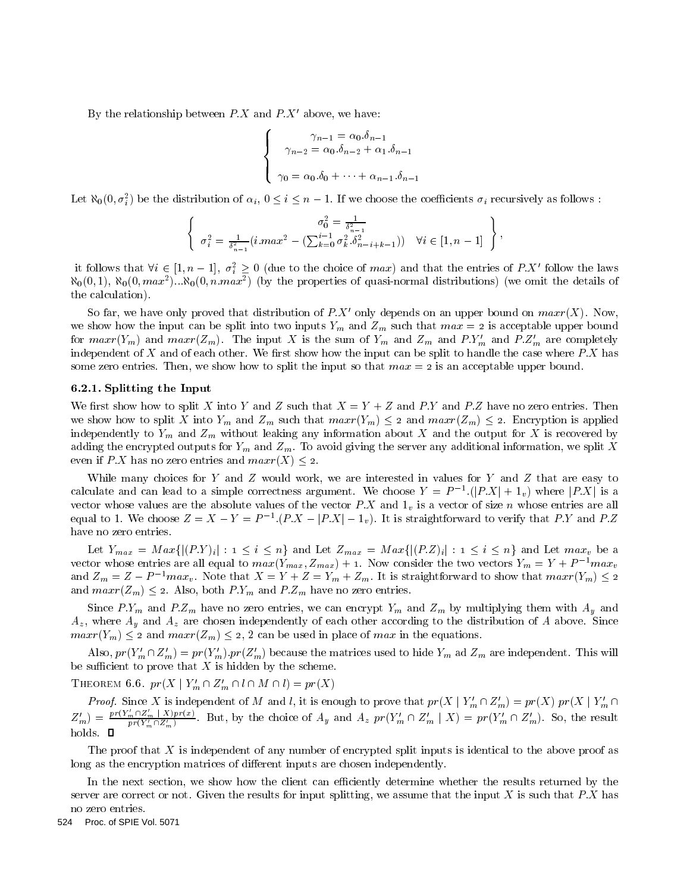By the relationship between  $P.X$  and  $P.X'$  above, we have:

$$
\begin{cases}\n\gamma_{n-1} = \alpha_0 . \delta_{n-1} \\
\gamma_{n-2} = \alpha_0 . \delta_{n-2} + \alpha_1 . \delta_{n-1} \\
\gamma_0 = \alpha_0 . \delta_0 + \dots + \alpha_{n-1} . \delta_{n-1}\n\end{cases}
$$

Let  $\aleph_0(0, \sigma_i^2)$  be the distribution of  $\alpha_i$ ,  $0 \le i \le n-1$ . If we choose the coefficients  $\sigma_i$  recursively as follows :

$$
\begin{cases}\n\sigma_0^2 = \frac{1}{\delta_{n-1}^2} \\
\sigma_i^2 = \frac{1}{\delta_{n-1}^2} (i.max^2 - (\sum_{k=0}^{i-1} \sigma_k^2 \cdot \delta_{n-i+k-1}^2)) \quad \forall i \in [1, n-1]\n\end{cases},
$$

it follows that  $\forall i \in [1, n-1], \sigma_i^2 \geq 0$  (due to the choice of max) and that the entries of P.X' follow the laws  $\aleph_0(0,1)$ ,  $\aleph_0(0, max^2)$ ... $\aleph_0(0, n.max^2)$  (by the properties of quasi-normal distributions) (we omit the details of the calculation).

So far, we have only proved that distribution of  $P.X'$  only depends on an upper bound on  $maxr(X)$ . Now, we show how the input can be split into two inputs  $Y_m$  and  $Z_m$  such that  $max = 2$  is acceptable upper bound for  $max(Y_m)$  and  $max(Z_m)$ . The input X is the sum of  $Y_m$  and  $Z_m$  and  $P.Y'_m$  and  $P.Z'_m$  are completely independent of  $X$  and of each other. We first show how the input can be split to handle the case where  $P.X$  has some zero entries. Then, we show how to split the input so that  $max = 2$  is an acceptable upper bound.

#### 6.2.1. Splitting the Input

We first show how to split X into Y and Z such that  $X = Y + Z$  and P.Y and P.Z have no zero entries. Then we show how to split X into  $Y_m$  and  $Z_m$  such that  $max(Y_m) \leq 2$  and  $max(Z_m) \leq 2$ . Encryption is applied independently to  $Y_m$  and  $Z_m$  without leaking any information about X and the output for X is recovered by adding the encrypted outputs for  $Y_m$  and  $Z_m$ . To avoid giving the server any additional information, we split X even if P:X has no zero entries and  $maxr(X) \leq 2$ .

While many choices for Y and Z would work, we are interested in values for Y and Z that are easy to calculate and can lead to a simple correctness argument. We choose  $Y = P^{-1}$ . ( $|P.X| + 1_v$ ) where  $|P.X|$  is a vector whose values are the absolute values of the vector  $P.X$  and  $1<sub>v</sub>$  is a vector of size n whose entries are all equal to 1. We choose  $Z = X - Y = P^{-1} (P.X - P.X - 1_v)$ . It is straightforward to verify that P.Y and P.Z have no zero entries.

Let  $Y_{max} = Max\{|(P.Y)_i| : 1 \le i \le n\}$  and Let  $Z_{max} = Max\{|(P.Z)_i| : 1 \le i \le n\}$  and Let  $max_v$  be a vector whose entries are all equal to  $max(Y_{max}, Z_{max}) + 1$ . Now consider the two vectors  $Y_m = Y + P^{-1}max_v$ and  $Z_m = Z - P^{-1}max_v$ . Note that  $X = Y + Z = Y_m + Z_m$ . It is straightforward to show that  $max(Y_m) \leq 2$ and  $maxr(Z_m) \leq 2$ . Also, both  $P.Y_m$  and  $P.Z_m$  have no zero entries.

Since  $P.Y_m$  and  $P.Z_m$  have no zero entries, we can encrypt  $Y_m$  and  $Z_m$  by multiplying them with  $A_y$  and  $A_z$ , where  $A_y$  and  $A_z$  are chosen independently of each other according to the distribution of A above. Since  $max(Y_m) \leq 2$  and  $max(Z_m) \leq 2$ , 2 can be used in place of max in the equations.

Also,  $pr(Y'_m \cap Z'_m) = pr(Y'_m) \cdot pr(Z'_m)$  because the matrices used to hide  $Y_m$  ad  $Z_m$  are independent. This will be sufficient to prove that  $X$  is hidden by the scheme.

THEOREM 6.6.  $pr(X \mid Y'_m \cap Z'_m \cap l \cap M \cap l) = pr(X)$ 

*Proof.* Since X is independent of M and l, it is enough to prove that  $pr(X \mid Y'_m \cap Z'_m) = pr(X)pr(X \mid Y'_m \cap Z'_m)$  $Z'_m$ ) =  $\frac{pr(Y_m \cap Z_m + A)pr(x)}{pr(Y'_m \cap Z'_m)}$ . But, by the choice of  $A_y$  and  $A_z$   $pr(Y'_m \cap Z'_m \mid X) = pr(Y'_m \cap Z'_m)$ . So, the result holds. **D** 

The proof that X is independent of any number of encrypted split inputs is identical to the above proof as long as the encryption matrices of different inputs are chosen independently.

In the next section, we show how the client can efficiently determine whether the results returned by the server are correct or not. Given the results for input splitting, we assume that the input X is such that  $P.X$  has no zero entries.

524 Proc. of SPIE Vol. 5071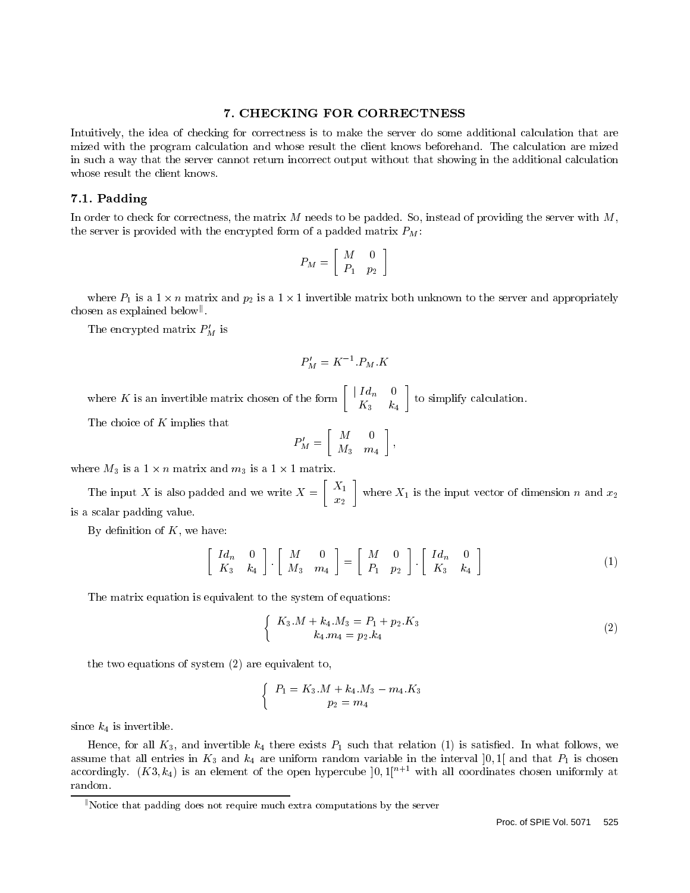#### 7. CHECKING FOR CORRECTNESS

Intuitively, the idea of checking for correctness is to make the server do some additional calculation that are mized with the program calculation and whose result the client knows beforehand. The calculation are mized in suchaway that the server cannot return incorrect output without that showing in the additional calculation whose result the client knows.

### 7.1. Padding

In order to check for correctness, the matrix M needs to be padded. So, instead of providing the server with  $M$ , the server is provided with the encrypted form of a padded matrix  $P_M$ :

$$
P_M=\left[\begin{array}{cc} M & 0 \\ P_1 & p_2 \end{array}\right]
$$

where  $P_1$  is a 1  $\times$  n matrix and  $p_2$  is a 1  $\times$  1 invertible matrix both unknown to the server and appropriately chosen as explained below".

The encrypted matrix  $P'_{M}$  is

$$
P'_M = K^{-1} \, P_M \, K
$$

where K is an invertible matrix chosen of the form  $\begin{bmatrix} |Id_n & 0 \\ K_3 & k_4 \end{bmatrix}$  to simplify calculation.

The choice of  $K$  implies that

$$
P'_M = \left[ \begin{array}{cc} M & 0 \\ M_3 & m_4 \end{array} \right],
$$

where  $M_3$  is a  $1 \times n$  matrix and  $m_3$  is a  $1 \times 1$  matrix.

The input  $\Gamma$  is also padded and we write  $\Gamma$  is also padded and we write  $\Gamma$  is also padded and we write  $\Gamma$  $\begin{bmatrix} X_1 \\ x_2 \end{bmatrix}$  where  $X_1$  is the input vector of dimension n and  $x_2$ is a scalar padding value.

By definition of  $K$ , we have:

$$
\left[\begin{array}{cc} Id_n & 0 \\ K_3 & k_4 \end{array}\right] \cdot \left[\begin{array}{cc} M & 0 \\ M_3 & m_4 \end{array}\right] = \left[\begin{array}{cc} M & 0 \\ P_1 & p_2 \end{array}\right] \cdot \left[\begin{array}{cc} Id_n & 0 \\ K_3 & k_4 \end{array}\right] \tag{1}
$$

The matrix equation is equivalent to the system of equations:

$$
\begin{cases}\nK_3.M + k_4.M_3 = P_1 + p_2.K_3 \\
k_4.m_4 = p_2.k_4\n\end{cases}
$$
\n(2)

the two equations of system (2) are equivalent to,

$$
\begin{cases}\nP_1 = K_3.M + k_4.M_3 - m_4.K_3 \\
p_2 = m_4\n\end{cases}
$$

since  $k_4$  is invertible.

Hence, for all  $K_3$ , and invertible  $k_4$  there exists  $P_1$  such that relation (1) is satisfied. In what follows, we assume that all entries in  $K_3$  and  $k_4$  are uniform random variable in the interval  $]0,1[$  and that  $P_1$  is chosen accordingly.  $(K3, k_4)$  is an element of the open hypercube  $]0, 1[^{n+1}$  with all coordinates chosen uniformly at random.

 $\mathbb{N}$ Notice that padding does not require much extra computations by the server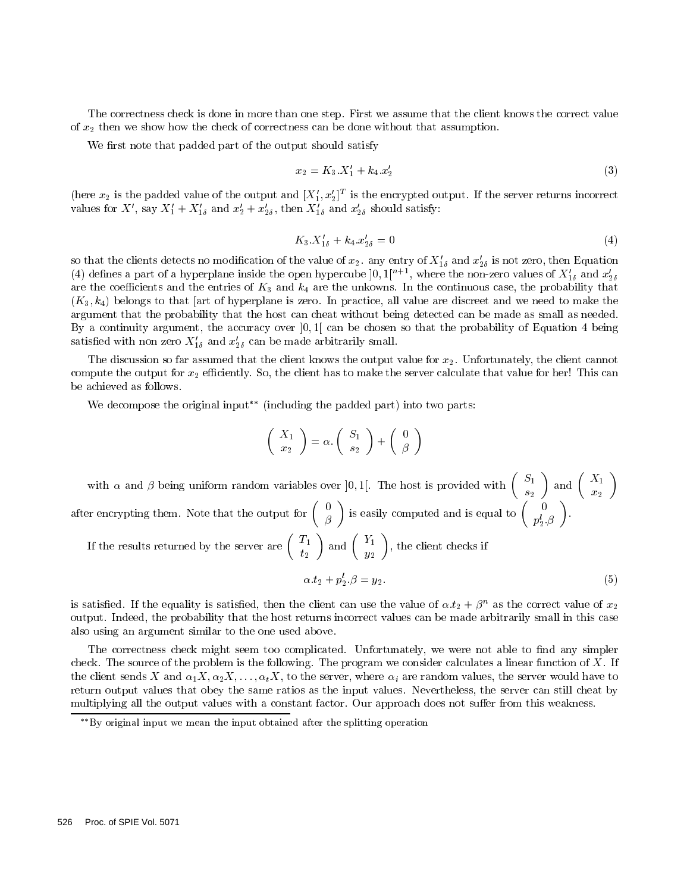The correctness check is done in more than one step. First we assume that the client knows the correct value of  $x_2$  then we show how the check of correctness can be done without that assumption.

We first note that padded part of the output should satisfy

$$
x_2 = K_3 \cdot X_1' + k_4 \cdot x_2' \tag{3}
$$

(here  $x_2$  is the padded value of the output and  $[X_1, x_2]^-$  is the encrypted output. If the server returns incorrect values for  $X$ , say  $X_1 + X_{1\delta}$  and  $x_2 + x_{2\delta}$ , then  $X_{1\delta}$  and  $x_{2\delta}$  should satisfy:

$$
K_3. X'_{1\delta} + k_4. x'_{2\delta} = 0 \tag{4}
$$

so that the chents detects no modification of the value of  $x_2$ . Any entry of  $\Lambda_{1\delta}$  and  $x_{2\delta}$  is not zero, then Equation (4) defines a part of a hyperplane inside the open hypercube [0, 1[n+1], where the non-zero values of  $X_{1\delta}$  and  $x_{2\delta}$ are the coefficients and the entries of  $K_3$  and  $k_4$  are the unkowns. In the continuous case, the probability that  $(K_3, k_4)$  belongs to that [art of hyperplane is zero. In practice, all value are discreet and we need to make the argument that the probability that the host can cheat without being detected can be made as small as needed. By a continuity argument, the accuracy over ]0; 1[ can be chosen so that the probability of Equation 4 being satisfied with non zero  $X'_{1\delta}$  and  $x'_{2\delta}$  can be made arbitrarily small.

The discussion so far assumed that the client knows the output value for  $x_2$ . Unfortunately, the client cannot compute the output for  $x_2$  efficiently. So, the client has to make the server calculate that value for her! This can be achieved as follows.

We decompose the original input<sup>\*\*</sup> (including the padded part) into two parts:

$$
\left(\begin{array}{c} X_1 \\ x_2 \end{array}\right) = \alpha. \left(\begin{array}{c} S_1 \\ s_2 \end{array}\right) + \left(\begin{array}{c} 0 \\ \beta \end{array}\right)
$$

with  $\alpha$  and  $\beta$  being uniform random variables over  $]0,1[$ . The host is provided with  $\left(\begin{array}{c} S_1 \ s_2 \end{array}\right)$  and  $\left(\begin{array}{c} X_1 \ x_2 \end{array}\right)$ after encrypting them. Note that the output for  $\begin{pmatrix} 0 \\ \beta \end{pmatrix}$  is easily computed and is equal to  $\begin{pmatrix} 0 \\ p_0^l, \beta \end{pmatrix}$ .  $\left.\begin{array}{c} 0\ p_2^l.\beta \end{array}\right).$ If the results returned by the server are  $\left( \begin{array}{c} T_1 \end{array} \right)$  and  $\left( \begin{array}{c} T_1 \end{array} \right)$  $\begin{array}{c} T_1 \ t_2 \end{array}$  and  $\begin{array}{c} Y_1 \ y_2 \end{array}$  , the c  $\begin{pmatrix} Y_1 \ y_2 \end{pmatrix}$ , the client checks if  $\alpha \cdot t_2 + p_2 \cdot \rho = y_2$ .  $2$  if the state of  $\sim$  2012  $\sim$  . The state of  $\sim$  100  $\sim$  500  $\sim$  500  $\sim$  500  $\sim$  500  $\sim$  500  $\sim$  500  $\sim$  500  $\sim$  500  $\sim$  500  $\sim$  500  $\sim$  500  $\sim$  500  $\sim$  500  $\sim$  500  $\sim$  500  $\sim$  500  $\sim$  500  $\sim$  500

is satisfied. If the equality is satisfied, then the client can use the value of  $\alpha.t_2 + \beta^n$  as the correct value of  $x_2$ output. Indeed, the probability that the host returns incorrect values can be made arbitrarily small in this case also using an argument similar to the one used above.

The correctness check might seem too complicated. Unfortunately, we were not able to find any simpler check. The source of the problem is the following. The program we consider calculates a linear function of  $X$ . If the client sends X and  $\alpha_1X, \alpha_2X, \ldots, \alpha_tX$ , to the server, where  $\alpha_i$  are random values, the server would have to return output values that obey the same ratios as the input values. Nevertheless, the server can still cheat by multiplying all the output values with a constant factor. Our approach does not suffer from this weakness.

By original input we mean the input obtained after the splitting operation